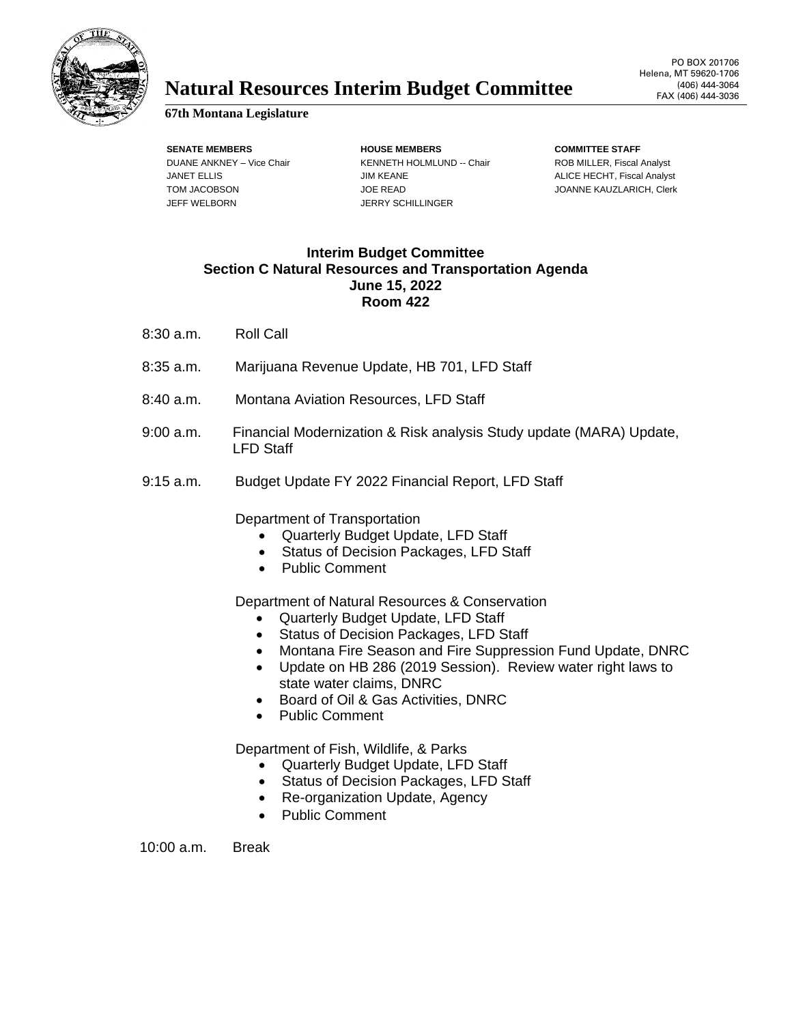

## **Natural Resources Interim Budget Committee** (406) 444-3064

## **67th Montana Legislature**

JEFF WELBORN JERRY SCHILLINGER

**SENATE MEMBERS HOUSE MEMBERS COMMITTEE STAFF** DUANE ANKNEY – Vice Chair **KENNETH HOLMLUND -- Chair** ROB MILLER, Fiscal Analyst JANET ELLIS **ALICE HECHT, Fiscal Analyst** JIM KEANE ALICE HECHT, Fiscal Analyst TOM JACOBSON JOE READ JOE READ JOANNE KAUZLARICH, Clerk

## **Interim Budget Committee Section C Natural Resources and Transportation Agenda June 15, 2022 Room 422**

- 8:30 a.m. Roll Call
- 8:35 a.m. Marijuana Revenue Update, HB 701, LFD Staff
- 8:40 a.m. Montana Aviation Resources, LFD Staff
- 9:00 a.m. Financial Modernization & Risk analysis Study update (MARA) Update, LFD Staff
- 9:15 a.m. Budget Update FY 2022 Financial Report, LFD Staff

Department of Transportation

- Quarterly Budget Update, LFD Staff
- Status of Decision Packages, LFD Staff
- Public Comment

Department of Natural Resources & Conservation

- Quarterly Budget Update, LFD Staff
- Status of Decision Packages, LFD Staff
- Montana Fire Season and Fire Suppression Fund Update, DNRC
- Update on HB 286 (2019 Session). Review water right laws to state water claims, DNRC
- Board of Oil & Gas Activities, DNRC
- Public Comment

Department of Fish, Wildlife, & Parks

- Quarterly Budget Update, LFD Staff
- Status of Decision Packages, LFD Staff
- Re-organization Update, Agency
- Public Comment

10:00 a.m. Break